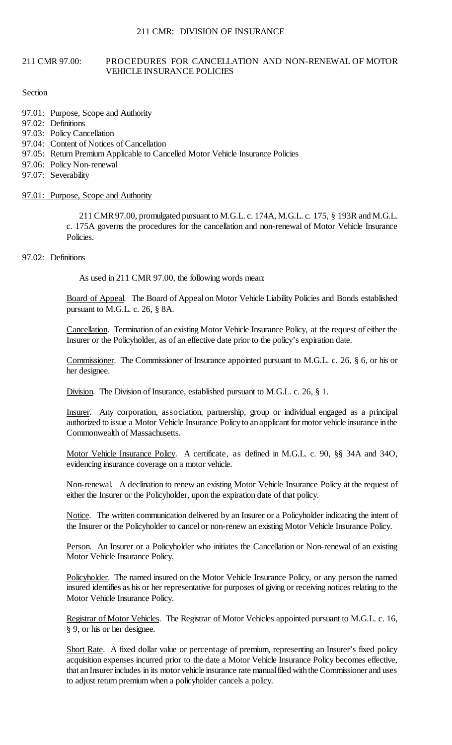#### 211 CMR 97.00: PROCEDURES FOR CANCELLATION AND NON-RENEWAL OF MOTOR VEHICLE INSURANCE POLICIES

### Section

- 97.01: Purpose, Scope and Authority
- 97.02: Definitions
- 97.03: Policy Cancellation
- 97.04: Content of Notices of Cancellation
- 97.05: Return Premium Applicable to Cancelled Motor Vehicle Insurance Policies
- 97.06: Policy Non-renewal
- 97.07: Severability

# 97.01: Purpose, Scope and Authority

 211 CMR 97.00, promulgated pursuant to M.G.L. c. 174A, M.G.L. c. 175, § 193R and M.G.L. c. 175A governs the procedures for the cancellation and non-renewal of Motor Vehicle Insurance Policies.

# 97.02: Definitions

As used in 211 CMR 97.00, the following words mean:

Board of Appeal. The Board of Appeal on Motor Vehicle Liability Policies and Bonds established pursuant to M.G.L. c. 26, § 8A.

Cancellation. Termination of an existing Motor Vehicle Insurance Policy, at the request of either the Insurer or the Policyholder, as of an effective date prior to the policy's expiration date.

Commissioner. The Commissioner of Insurance appointed pursuant to M.G.L. c. 26, § 6, or his or her designee.

Division. The Division of Insurance, established pursuant to M.G.L. c. 26, § 1.

 authorized to issue a Motor Vehicle Insurance Policy to an applicant for motor vehicle insurance in the Insurer. Any corporation, association, partnership, group or individual engaged as a principal Commonwealth of Massachusetts.

Motor Vehicle Insurance Policy. A certificate, as defined in M.G.L. c. 90, §§ 34A and 34O, evidencing insurance coverage on a motor vehicle.

Non-renewal. A declination to renew an existing Motor Vehicle Insurance Policy at the request of either the Insurer or the Policyholder, upon the expiration date of that policy.

Notice. The written communication delivered by an Insurer or a Policyholder indicating the intent of the Insurer or the Policyholder to cancel or non-renew an existing Motor Vehicle Insurance Policy.

Person. An Insurer or a Policyholder who initiates the Cancellation or Non-renewal of an existing Motor Vehicle Insurance Policy.

Policyholder. The named insured on the Motor Vehicle Insurance Policy, or any person the named insured identifies as his or her representative for purposes of giving or receiving notices relating to the Motor Vehicle Insurance Policy.

Registrar of Motor Vehicles. The Registrar of Motor Vehicles appointed pursuant to M.G.L. c. 16, § 9, or his or her designee.

 that an Insurer includes in its motor vehicle insurance rate manual filed with the Commissioner and uses Short Rate. A fixed dollar value or percentage of premium, representing an Insurer's fixed policy acquisition expenses incurred prior to the date a Motor Vehicle Insurance Policy becomes effective, to adjust return premium when a policyholder cancels a policy.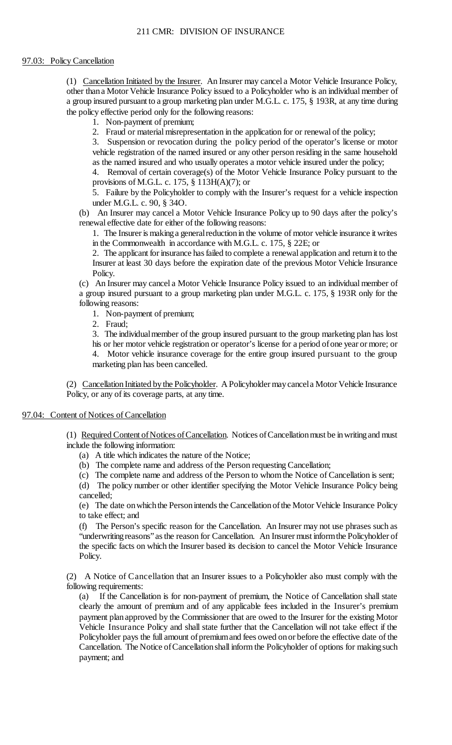# 97.03: Policy Cancellation

 other thana Motor Vehicle Insurance Policy issued to a Policyholder who is an individual member of a group insured pursuant to a group marketing plan under M.G.L. c. 175, § 193R, at any time during (1) Cancellation Initiated by the Insurer. An Insurer may cancel a Motor Vehicle Insurance Policy, the policy effective period only for the following reasons:

1. Non-payment of premium;

2. Fraud or material misrepresentation in the application for or renewal of the policy;

 vehicle registration of the named insured or any other person residing in the same household 3. Suspension or revocation during the policy period of the operator's license or motor as the named insured and who usually operates a motor vehicle insured under the policy;

4. Removal of certain coverage(s) of the Motor Vehicle Insurance Policy pursuant to the provisions of M.G.L. c. 175, § 113H(A)(7); or

 5. Failure by the Policyholder to comply with the Insurer's request for a vehicle inspection under M.G.L. c. 90, § 34O.

 (b) An Insurer may cancel a Motor Vehicle Insurance Policy up to 90 days after the policy's renewal effective date for either of the following reasons:

 1. The Insurer is making a general reduction in the volume of motor vehicle insurance it writes in the Commonwealth in accordance with M.G.L. c. 175, § 22E; or

 2. The applicant for insurance has failed to complete a renewal application and return it to the Insurer at least 30 days before the expiration date of the previous Motor Vehicle Insurance Policy.

 a group insured pursuant to a group marketing plan under M.G.L. c. 175, § 193R only for the (c) An Insurer may cancel a Motor Vehicle Insurance Policy issued to an individual member of following reasons:

1. Non-payment of premium;

2. Fraud;

3. The individualmember of the group insured pursuant to the group marketing plan has lost

 his or her motor vehicle registration or operator's license for a period ofone year or more; or 4. Motor vehicle insurance coverage for the entire group insured pursuant to the group marketing plan has been cancelled.

(2) Cancellation Initiated by the Policyholder. A Policyholder may cancel a Motor Vehicle Insurance Policy, or any of its coverage parts, at any time.

## 97.04: Content of Notices of Cancellation

(1) Required Content of Notices of Cancellation. Notices of Cancellation must be in writing and must include the following information:

- (a) A title which indicates the nature of the Notice;
- (b) The complete name and address of the Person requesting Cancellation;

(c) The complete name and address of the Person to whom the Notice of Cancellation is sent;

 (d) The policy number or other identifier specifying the Motor Vehicle Insurance Policy being cancelled;

 (e) The date on which the Person intends the Cancellation of the Motor Vehicle Insurance Policy to take effect; and

 (f) The Person's specific reason for the Cancellation. An Insurer may not use phrases such as "underwriting reasons" as the reason for Cancellation. An Insurer must inform the Policyholder of the specific facts on which the Insurer based its decision to cancel the Motor Vehicle Insurance Policy.

(2) A Notice of Cancellation that an Insurer issues to a Policyholder also must comply with the following requirements:

 (a) If the Cancellation is for non-payment of premium, the Notice of Cancellation shall state Policyholder pays the full amount of premium and fees owed on or before the effective date of the Cancellation. The Notice of Cancellation shall inform the Policyholder of options for making such clearly the amount of premium and of any applicable fees included in the Insurer's premium payment planapproved by the Commissioner that are owed to the Insurer for the existing Motor Vehicle Insurance Policy and shall state further that the Cancellation will not take effect if the payment; and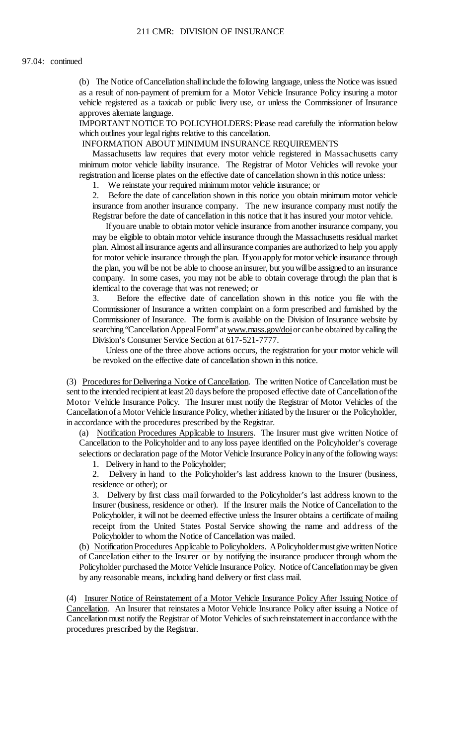(b) The Notice of Cancellation shall include the following language, unless the Notice was issued as a result of non-payment of premium for a Motor Vehicle Insurance Policy insuring a motor vehicle registered as a taxicab or public livery use, or unless the Commissioner of Insurance approves alternate language.

 IMPORTANT NOTICE TO POLICYHOLDERS: Please read carefully the information below which outlines your legal rights relative to this cancellation.

INFORMATION ABOUT MINIMUM INSURANCE REQUIREMENTS

Massachusetts law requires that every motor vehicle registered in Massachusetts carry minimum motor vehicle liability insurance. The Registrar of Motor Vehicles will revoke your registration and license plates on the effective date of cancellation shown in this notice unless:

1. We reinstate your required minimum motor vehicle insurance; or

 $2^{\circ}$  insurance from another insurance company. The new insurance company must notify the 2. Before the date of cancellation shown in this notice you obtain minimum motor vehicle Registrar before the date of cancellation in this notice that it has insured your motor vehicle.

 Ifyouare unable to obtain motor vehicle insurance from another insurance company, you for motor vehicle insurance through the plan. If you apply for motor vehicle insurance through the plan, you will be not be able to choose an insurer, but you will be assigned to an insurance may be eligible to obtain motor vehicle insurance through the Massachusetts residual market plan. Almost all insurance agents and all insurance companies are authorized to help you apply company. In some cases, you may not be able to obtain coverage through the plan that is identical to the coverage that was not renewed; or

3. Before the effective date of cancellation shown in this notice you file with the Commissioner of Insurance a written complaint on a form prescribed and furnished by the Commissioner of Insurance. The form is available on the Division of Insurance website by searching "Cancellation Appeal Form" at [www.mass.gov/doi](http://www.mass.gov/doi) or can be obtained by calling the Division's Consumer Service Section at 617-521-7777.

 Unless one of the three above actions occurs, the registration for your motor vehicle will be revoked on the effective date of cancellation shown in this notice.

(3) Procedures for Delivering a Notice of Cancellation. The written Notice of Cancellation must be sent to the intended recipient at least 20 days before the proposed effective date of Cancellation of the Motor Vehicle Insurance Policy. The Insurer must notify the Registrar of Motor Vehicles of the Cancellation of a Motor Vehicle Insurance Policy, whether initiated by the Insurer or the Policyholder, in accordance with the procedures prescribed by the Registrar.

 selections or declaration page of the Motor Vehicle Insurance Policyinanyofthe following ways: (a) Notification Procedures Applicable to Insurers. The Insurer must give written Notice of Cancellation to the Policyholder and to any loss payee identified on the Policyholder's coverage

1. Delivery in hand to the Policyholder;

 2. Delivery in hand to the Policyholder's last address known to the Insurer (business, residence or other); or

 Insurer (business, residence or other). If the Insurer mails the Notice of Cancellation to the 3. Delivery by first class mail forwarded to the Policyholder's last address known to the Policyholder, it will not be deemed effective unless the Insurer obtains a certificate of mailing receipt from the United States Postal Service showing the name and address of the Policyholder to whom the Notice of Cancellation was mailed.

(b) Notification Procedures Applicable to Policyholders. A Policyholder must give written Notice of Cancellation either to the Insurer or by notifying the insurance producer through whom the Policyholder purchased the Motor Vehicle Insurance Policy. Notice of Cancellation may be given by any reasonable means, including hand delivery or first class mail.

Cancellation. An Insurer that reinstates a Motor Vehicle Insurance Policy after issuing a Notice of Cancellation must notify the Registrar of Motor Vehicles of such reinstatement in accordance with the (4) Insurer Notice of Reinstatement of a Motor Vehicle Insurance Policy After Issuing Notice of procedures prescribed by the Registrar.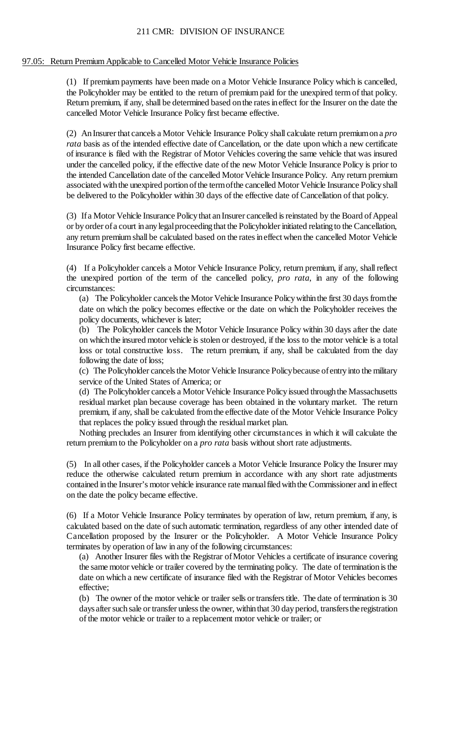## 97.05: Return Premium Applicable to Cancelled Motor Vehicle Insurance Policies

 Return premium, if any, shall be determined based on the rates in effect for the Insurer on the date the (1) If premium payments have been made on a Motor Vehicle Insurance Policy which is cancelled, the Policyholder may be entitled to the return of premium paid for the unexpired term of that policy. cancelled Motor Vehicle Insurance Policy first became effective.

 (2) An Insurer that cancels a Motor Vehicle Insurance Policy shall calculate return premium on a *pro rata* basis as of the intended effective date of Cancellation, or the date upon which a new certificate of insurance is filed with the Registrar of Motor Vehicles covering the same vehicle that was insured under the cancelled policy, if the effective date of the new Motor Vehicle Insurance Policy is prior to the intended Cancellation date of the cancelled Motor Vehicle Insurance Policy. Any return premium associated with the unexpired portion of the term ofthe cancelled Motor Vehicle Insurance Policy shall be delivered to the Policyholder within 30 days of the effective date of Cancellation of that policy.

 any return premium shall be calculated based on the rates ineffect when the cancelled Motor Vehicle (3) If a Motor Vehicle Insurance Policy that an Insurer cancelled is reinstated by the Board of Appeal or by order of a court in any legal proceeding that the Policyholder initiated relating to the Cancellation, Insurance Policy first became effective.

 (4) If a Policyholder cancels a Motor Vehicle Insurance Policy, return premium, if any, shall reflect the unexpired portion of the term of the cancelled policy, *pro rata*, in any of the following circumstances:

 (a) The Policyholder cancels the Motor Vehicle Insurance Policy within the first 30 days from the date on which the policy becomes effective or the date on which the Policyholder receives the policy documents, whichever is later;

 (b) The Policyholder cancels the Motor Vehicle Insurance Policy within 30 days after the date on whichthe insured motor vehicle is stolen or destroyed, if the loss to the motor vehicle is a total loss or total constructive loss. The return premium, if any, shall be calculated from the day following the date of loss;

(c) The Policyholder cancels the Motor Vehicle Insurance Policybecause of entry into the military service of the United States of America; or

(d) The Policyholder cancels a Motor Vehicle Insurance Policy issued through the Massachusetts residual market plan because coverage has been obtained in the voluntary market. The return premium, if any, shall be calculated fromthe effective date of the Motor Vehicle Insurance Policy that replaces the policy issued through the residual market plan.

Nothing precludes an Insurer from identifying other circumstances in which it will calculate the return premium to the Policyholder on a *pro rata* basis without short rate adjustments.

 (5) In all other cases, if the Policyholder cancels a Motor Vehicle Insurance Policy the Insurer may reduce the otherwise calculated return premium in accordance with any short rate adjustments contained in the Insurer's motor vehicle insurance rate manual filed with the Commissioner and in effect on the date the policy became effective.

 (6) If a Motor Vehicle Insurance Policy terminates by operation of law, return premium, if any, is calculated based on the date of such automatic termination, regardless of any other intended date of Cancellation proposed by the Insurer or the Policyholder. A Motor Vehicle Insurance Policy terminates by operation of law in any of the following circumstances:

 the same motor vehicle or trailer covered by the terminating policy. The date of termination is the (a) Another Insurer files with the Registrar ofMotor Vehicles a certificate of insurance covering date on which a new certificate of insurance filed with the Registrar of Motor Vehicles becomes effective;

 (b) The owner of the motor vehicle or trailer sells or transfers title. The date of termination is 30 days after such sale or transfer unless the owner, within that 30 day period, transfers the registration of the motor vehicle or trailer to a replacement motor vehicle or trailer; or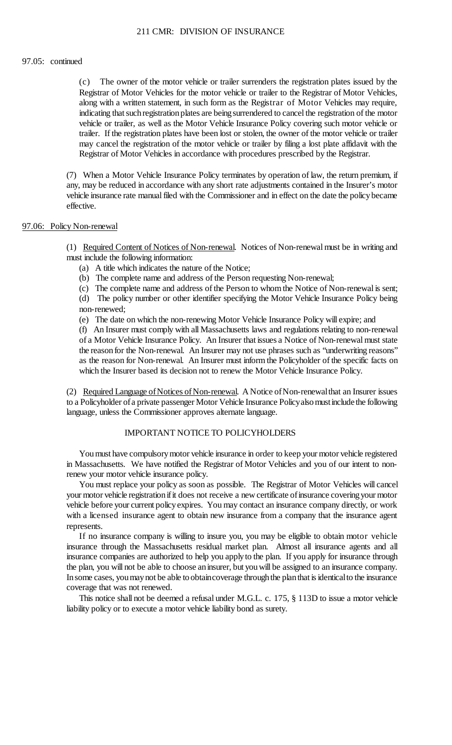#### 97.05: continued

 $(c)$  Registrar of Motor Vehicles for the motor vehicle or trailer to the Registrar of Motor Vehicles, along with a written statement, in such form as the Registrar of Motor Vehicles may require, indicating that such registration plates are being surrendered to cancel the registration of the motor vehicle or trailer, as well as the Motor Vehicle Insurance Policy covering such motor vehicle or The owner of the motor vehicle or trailer surrenders the registration plates issued by the trailer. If the registration plates have been lost or stolen, the owner of the motor vehicle or trailer may cancel the registration of the motor vehicle or trailer by filing a lost plate affidavit with the Registrar of Motor Vehicles in accordance with procedures prescribed by the Registrar.

 (7) When a Motor Vehicle Insurance Policy terminates by operation of law, the return premium, if any, may be reduced in accordance with any short rate adjustments contained in the Insurer's motor vehicle insurance rate manual filed with the Commissioner and in effect on the date the policybecame effective.

#### 97.06: Policy Non-renewal

(1) Required Content of Notices of Non-renewal. Notices of Non-renewal must be in writing and must include the following information:

- (a) A title which indicates the nature of the Notice;
- (b) The complete name and address of the Person requesting Non-renewal;
- (c) The complete name and address of the Person to whom the Notice of Non-renewal is sent; (d) The policy number or other identifier specifying the Motor Vehicle Insurance Policy being non-renewed;
- (e) The date on which the non-renewing Motor Vehicle Insurance Policy will expire; and

 (f) An Insurer must comply with all Massachusetts laws and regulations relating to non-renewal as the reason for Non-renewal. An Insurer must inform the Policyholder of the specific facts on of a Motor Vehicle Insurance Policy. An Insurer that issues a Notice of Non-renewal must state the reason for the Non-renewal. An Insurer may not use phrases such as "underwriting reasons" which the Insurer based its decision not to renew the Motor Vehicle Insurance Policy.

(2) Required Language of Notices of Non-renewal. A Notice of Non-renewal that an Insurer issues to a Policyholder of a private passenger Motor Vehicle Insurance Policy also must include the following language, unless the Commissioner approves alternate language.

## IMPORTANT NOTICE TO POLICYHOLDERS

 You must have compulsory motor vehicle insurance in order to keep your motor vehicle registered in Massachusetts. We have notified the Registrar of Motor Vehicles and you of our intent to nonrenew your motor vehicle insurance policy.

 You must replace your policy as soon as possible. The Registrar of Motor Vehicles will cancel your motor vehicle registration if it does not receive a new certificate of insurance covering your motor vehicle before your current policy expires. You may contact an insurance company directly, or work with a licensed insurance agent to obtain new insurance from a company that the insurance agent represents.

 the plan, you will not be able to choose aninsurer, but you will be assigned to an insurance company. If no insurance company is willing to insure you, you may be eligible to obtain motor vehicle insurance through the Massachusetts residual market plan. Almost all insurance agents and all insurance companies are authorized to help you applyto the plan. If you apply for insurance through In some cases, you may not be able to obtaincoverage through the plan that is identical to the insurance coverage that was not renewed.

This notice shall not be deemed a refusal under M.G.L. c. 175, § 113D to issue a motor vehicle liability policy or to execute a motor vehicle liability bond as surety.